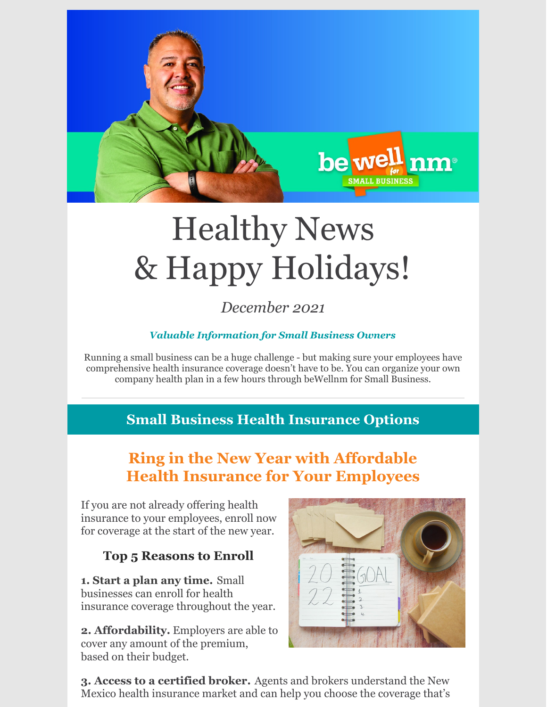

# Healthy News & Happy Holidays!

*December 2021*

#### *Valuable Information for Small Business Owners*

Running a small business can be a huge challenge - but making sure your employees have comprehensive health insurance coverage doesn't have to be. You can organize your own company health plan in a few hours through beWellnm for Small Business.

### **Small Business Health Insurance Options**

## **Ring in the New Year with Affordable Health Insurance for Your Employees**

If you are not already offering health insurance to your employees, enroll now for coverage at the start of the new year.

#### **Top 5 Reasons to Enroll**

**1. Start a plan any time.** Small businesses can enroll for health insurance coverage throughout the year.

**2. Affordability.** Employers are able to cover any amount of the premium, based on their budget.



**3. Access to a certified broker.** Agents and brokers understand the New Mexico health insurance market and can help you choose the coverage that's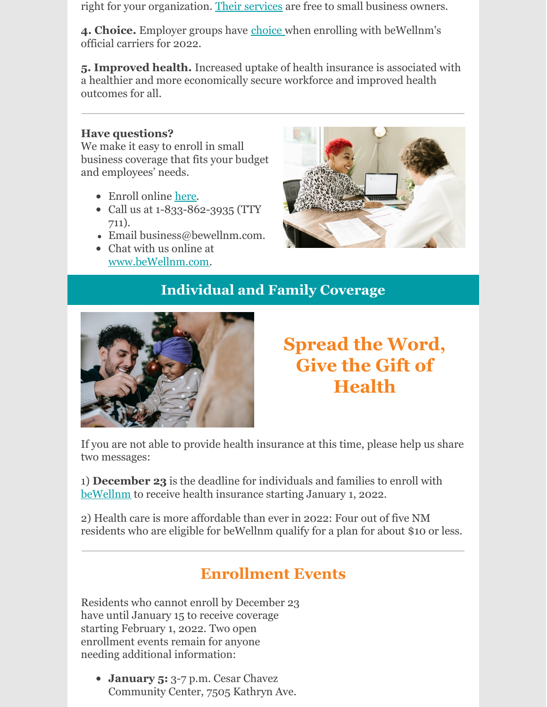right for your organization. Their [services](https://www.bewellnm.com/we-can-help/find-help-near-you/) are free to small business owners.

4. **Choice.** Employer groups have [choice](https://www.bewellnm.com/getting-started/small-business-health-options/) when enrolling with beWellnm's official carriers for 2022.

**5. Improved health.** Increased uptake of health insurance is associated with a healthier and more economically secure workforce and improved health outcomes for all.

#### **Have questions?**

We make it easy to enroll in small business coverage that fits your budget and employees' needs.

- Enroll online [here](https://business.bewellnm.com/marketplace/#/access/signin).
- Call us at 1-833-862-3935 (TTY 711).
- Email business@bewellnm.com.
- Chat with us online at [www.beWellnm.com](http://www.bewellnm.com).



## **Individual and Family Coverage**



## **Spread the Word, Give the Gift of Health**

If you are not able to provide health insurance at this time, please help us share two messages:

1) **December 23** is the deadline for individuals and families to enroll with [beWellnm](https://www.bewellnm.com/) to receive health insurance starting January 1, 2022.

2) Health care is more affordable than ever in 2022: Four out of five NM residents who are eligible for beWellnm qualify for a plan for about \$10 or less.

## **Enrollment Events**

Residents who cannot enroll by December 23 have until January 15 to receive coverage starting February 1, 2022. Two open enrollment events remain for anyone needing additional information:

**January 5:** 3-7 p.m. Cesar Chavez Community Center, 7505 Kathryn Ave.